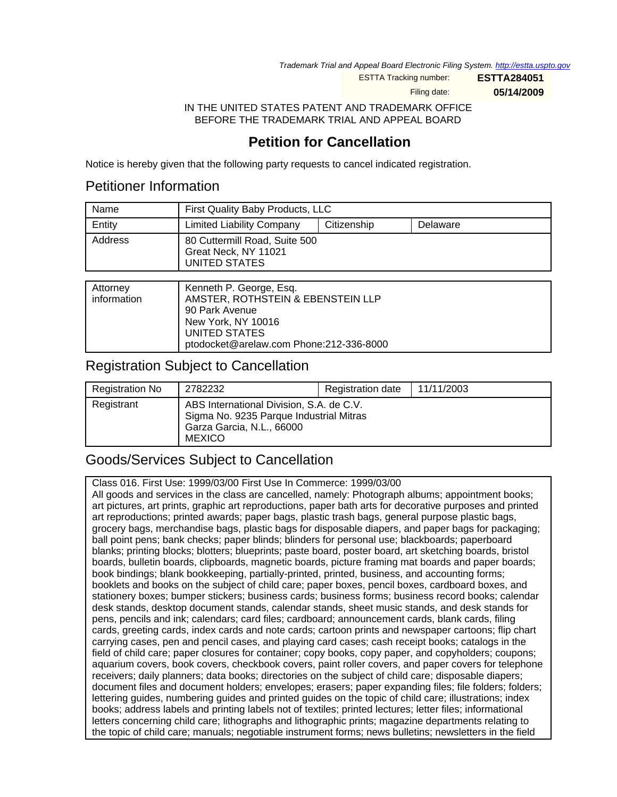Trademark Trial and Appeal Board Electronic Filing System. <http://estta.uspto.gov>

ESTTA Tracking number: **ESTTA284051**

Filing date: **05/14/2009**

IN THE UNITED STATES PATENT AND TRADEMARK OFFICE BEFORE THE TRADEMARK TRIAL AND APPEAL BOARD

# **Petition for Cancellation**

Notice is hereby given that the following party requests to cancel indicated registration.

## Petitioner Information

| Name    | First Quality Baby Products, LLC                                       |             |          |
|---------|------------------------------------------------------------------------|-------------|----------|
| Entity  | <b>Limited Liability Company</b>                                       | Citizenship | Delaware |
| Address | 80 Cuttermill Road, Suite 500<br>Great Neck, NY 11021<br>UNITED STATES |             |          |

| Attorney    | Kenneth P. George, Esq.                 |
|-------------|-----------------------------------------|
| information | AMSTER, ROTHSTEIN & EBENSTEIN LLP       |
|             | 90 Park Avenue                          |
|             | New York, NY 10016                      |
|             | UNITED STATES                           |
|             | ptodocket@arelaw.com Phone:212-336-8000 |

## Registration Subject to Cancellation

| <b>Registration No</b> | 2782232                                                                                                                           | Registration date | 11/11/2003 |
|------------------------|-----------------------------------------------------------------------------------------------------------------------------------|-------------------|------------|
| Registrant             | ABS International Division, S.A. de C.V.<br>Sigma No. 9235 Parque Industrial Mitras<br>Garza Garcia, N.L., 66000<br><b>MEXICO</b> |                   |            |

## Goods/Services Subject to Cancellation

Class 016. First Use: 1999/03/00 First Use In Commerce: 1999/03/00 All goods and services in the class are cancelled, namely: Photograph albums; appointment books; art pictures, art prints, graphic art reproductions, paper bath arts for decorative purposes and printed art reproductions; printed awards; paper bags, plastic trash bags, general purpose plastic bags, grocery bags, merchandise bags, plastic bags for disposable diapers, and paper bags for packaging; ball point pens; bank checks; paper blinds; blinders for personal use; blackboards; paperboard blanks; printing blocks; blotters; blueprints; paste board, poster board, art sketching boards, bristol boards, bulletin boards, clipboards, magnetic boards, picture framing mat boards and paper boards; book bindings; blank bookkeeping, partially-printed, printed, business, and accounting forms; booklets and books on the subject of child care; paper boxes, pencil boxes, cardboard boxes, and stationery boxes; bumper stickers; business cards; business forms; business record books; calendar desk stands, desktop document stands, calendar stands, sheet music stands, and desk stands for pens, pencils and ink; calendars; card files; cardboard; announcement cards, blank cards, filing cards, greeting cards, index cards and note cards; cartoon prints and newspaper cartoons; flip chart carrying cases, pen and pencil cases, and playing card cases; cash receipt books; catalogs in the field of child care; paper closures for container; copy books, copy paper, and copyholders; coupons; aquarium covers, book covers, checkbook covers, paint roller covers, and paper covers for telephone receivers; daily planners; data books; directories on the subject of child care; disposable diapers; document files and document holders; envelopes; erasers; paper expanding files; file folders; folders; lettering guides, numbering guides and printed guides on the topic of child care; illustrations; index books; address labels and printing labels not of textiles; printed lectures; letter files; informational letters concerning child care; lithographs and lithographic prints; magazine departments relating to the topic of child care; manuals; negotiable instrument forms; news bulletins; newsletters in the field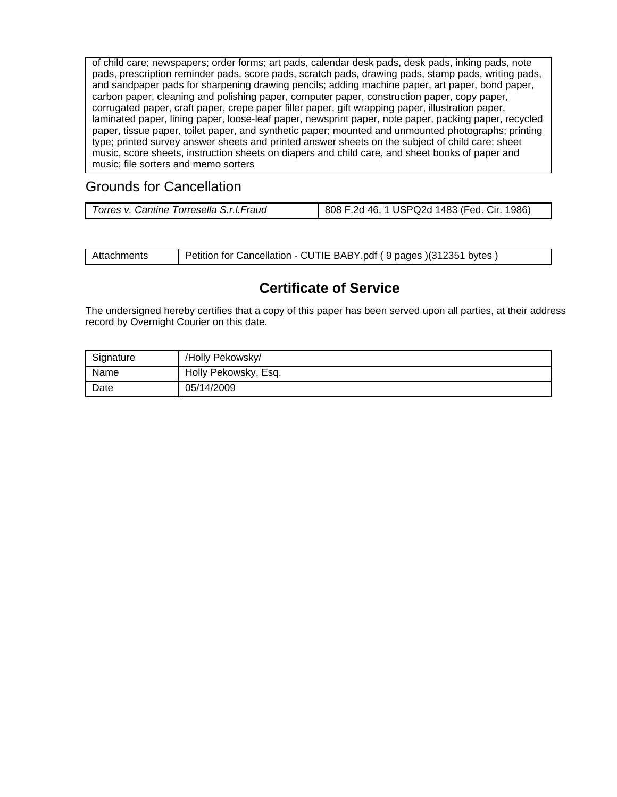of child care; newspapers; order forms; art pads, calendar desk pads, desk pads, inking pads, note pads, prescription reminder pads, score pads, scratch pads, drawing pads, stamp pads, writing pads, and sandpaper pads for sharpening drawing pencils; adding machine paper, art paper, bond paper, carbon paper, cleaning and polishing paper, computer paper, construction paper, copy paper, corrugated paper, craft paper, crepe paper filler paper, gift wrapping paper, illustration paper, laminated paper, lining paper, loose-leaf paper, newsprint paper, note paper, packing paper, recycled paper, tissue paper, toilet paper, and synthetic paper; mounted and unmounted photographs; printing type; printed survey answer sheets and printed answer sheets on the subject of child care; sheet music, score sheets, instruction sheets on diapers and child care, and sheet books of paper and music; file sorters and memo sorters

# Grounds for Cancellation

| Attachments | Petition for Cancellation - CUTIE BABY.pdf (9 pages) (312351 bytes) |
|-------------|---------------------------------------------------------------------|
|-------------|---------------------------------------------------------------------|

## **Certificate of Service**

The undersigned hereby certifies that a copy of this paper has been served upon all parties, at their address record by Overnight Courier on this date.

| Signature | /Holly Pekowsky/     |
|-----------|----------------------|
| Name      | Holly Pekowsky, Esq. |
| Date      | 05/14/2009           |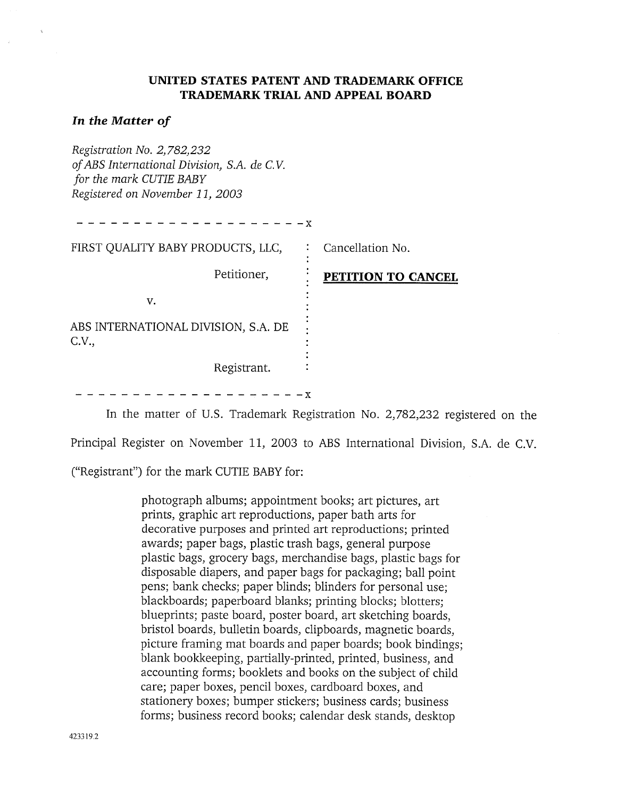## UNITED STATES PATENT AND TRADEMARK OFFICE **TRADEMARK TRIAL AND APPEAL BOARD**

### In the Matter of

Registration No. 2,782,232 of ABS International Division, S.A. de C.V. for the mark CUTIE BABY Registered on November 11, 2003

| $- - - - - - x$                              |                    |
|----------------------------------------------|--------------------|
| FIRST QUALITY BABY PRODUCTS, LLC,            | Cancellation No.   |
| Petitioner,                                  | PETITION TO CANCEL |
| v.                                           |                    |
| ABS INTERNATIONAL DIVISION, S.A. DE<br>C.V., |                    |
| Registrant.                                  |                    |
|                                              | <b>AZ</b>          |

In the matter of U.S. Trademark Registration No. 2,782,232 registered on the

Principal Register on November 11, 2003 to ABS International Division, S.A. de C.V.

("Registrant") for the mark CUTIE BABY for:

photograph albums; appointment books; art pictures, art prints, graphic art reproductions, paper bath arts for decorative purposes and printed art reproductions; printed awards; paper bags, plastic trash bags, general purpose plastic bags, grocery bags, merchandise bags, plastic bags for disposable diapers, and paper bags for packaging; ball point pens; bank checks; paper blinds; blinders for personal use; blackboards; paperboard blanks; printing blocks; blotters; blueprints; paste board, poster board, art sketching boards, bristol boards, bulletin boards, clipboards, magnetic boards, picture framing mat boards and paper boards; book bindings; blank bookkeeping, partially-printed, printed, business, and accounting forms; booklets and books on the subject of child care; paper boxes, pencil boxes, cardboard boxes, and stationery boxes; bumper stickers; business cards; business forms; business record books; calendar desk stands, desktop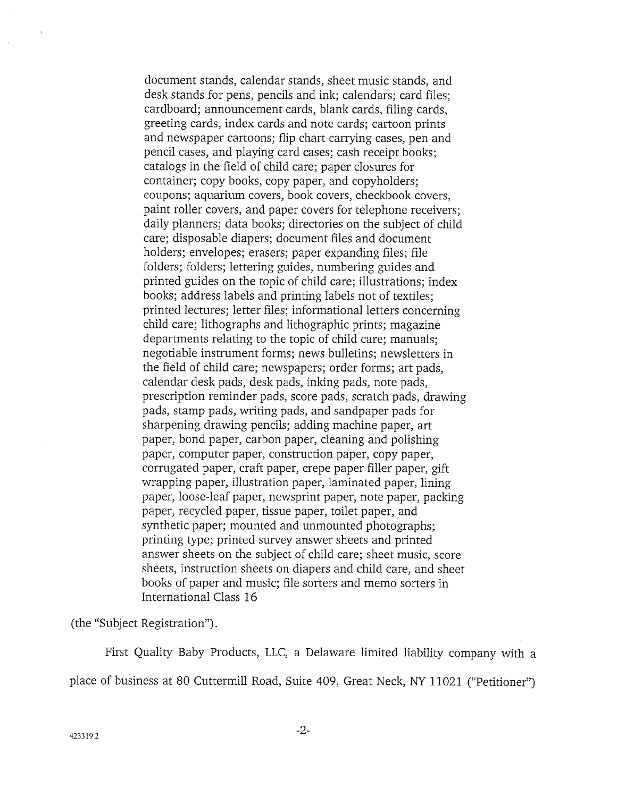document stands, calendar stands, sheet music stands, and desk stands for pens, pencils and ink; calendars; card files; cardboard; announcement cards, blank cards, filing cards, greeting cards, index cards and note cards; cartoon prints and newspaper cartoons; flip chart carrying cases, pen and pencil cases, and playing card cases; cash receipt books; catalogs in the field of child care; paper closures for container; copy books, copy paper, and copyholders; coupons; aquarium covers, book covers, checkbook covers, paint roller covers, and paper covers for telephone receivers; daily planners; data books; directories on the subject of child care; disposable diapers; document files and document holders; envelopes; erasers; paper expanding files; file folders; folders; lettering guides, numbering guides and printed guides on the topic of child care; illustrations; index books; address labels and printing labels not of textiles; printed lectures; letter files; informational letters concerning child care; lithographs and lithographic prints; magazine departments relating to the topic of child care; manuals; negotiable instrument forms; news bulletins; newsletters in the field of child care; newspapers; order forms; art pads, calendar desk pads, desk pads, inking pads, note pads, prescription reminder pads, score pads, scratch pads, drawing pads, stamp pads, writing pads, and sandpaper pads for sharpening drawing pencils; adding machine paper, art paper, bond paper, carbon paper, cleaning and polishing paper, computer paper, construction paper, copy paper, corrugated paper, craft paper, crepe paper filler paper, gift wrapping paper, illustration paper, laminated paper, lining paper, loose-leaf paper, newsprint paper, note paper, packing paper, recycled paper, tissue paper, toilet paper, and synthetic paper; mounted and unmounted photographs; printing type; printed survey answer sheets and printed answer sheets on the subject of child care; sheet music, score sheets, instruction sheets on diapers and child care, and sheet books of paper and music; file sorters and memo sorters in International Class 16

(the "Subject Registration").

First Quality Baby Products, LLC, a Delaware limited liability company with a place of business at 80 Cuttermill Road, Suite 409, Great Neck, NY 11021 ("Petitioner")

 $\hat{\mathbf{x}}$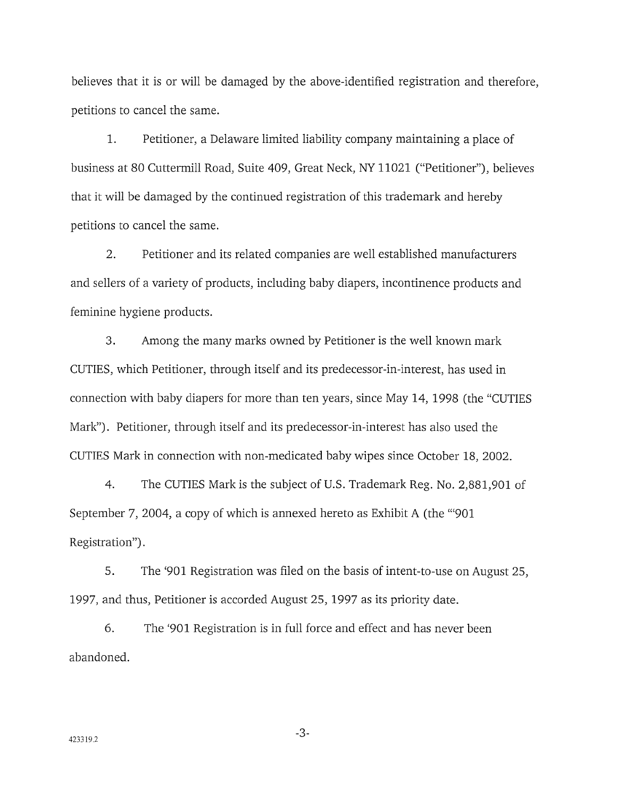believes that it is or will be damaged by the above-identified registration and therefore, petitions to cancel the same.

 $1.$ Petitioner, a Delaware limited liability company maintaining a place of business at 80 Cuttermill Road, Suite 409, Great Neck, NY 11021 ("Petitioner"), believes that it will be damaged by the continued registration of this trademark and hereby petitions to cancel the same.

 $2.$ Petitioner and its related companies are well established manufacturers and sellers of a variety of products, including baby diapers, incontinence products and feminine hygiene products.

 $3.$ Among the many marks owned by Petitioner is the well known mark CUTIES, which Petitioner, through itself and its predecessor-in-interest, has used in connection with baby diapers for more than ten years, since May 14, 1998 (the "CUTIES" Mark"). Petitioner, through itself and its predecessor-in-interest has also used the CUTIES Mark in connection with non-medicated baby wipes since October 18, 2002.

 $4.$ The CUTIES Mark is the subject of U.S. Trademark Reg. No. 2,881,901 of September 7, 2004, a copy of which is annexed hereto as Exhibit A (the "901 Registration").

5. The '901 Registration was filed on the basis of intent-to-use on August 25, 1997, and thus, Petitioner is accorded August 25, 1997 as its priority date.

6. The '901 Registration is in full force and effect and has never been abandoned.

 $-3-$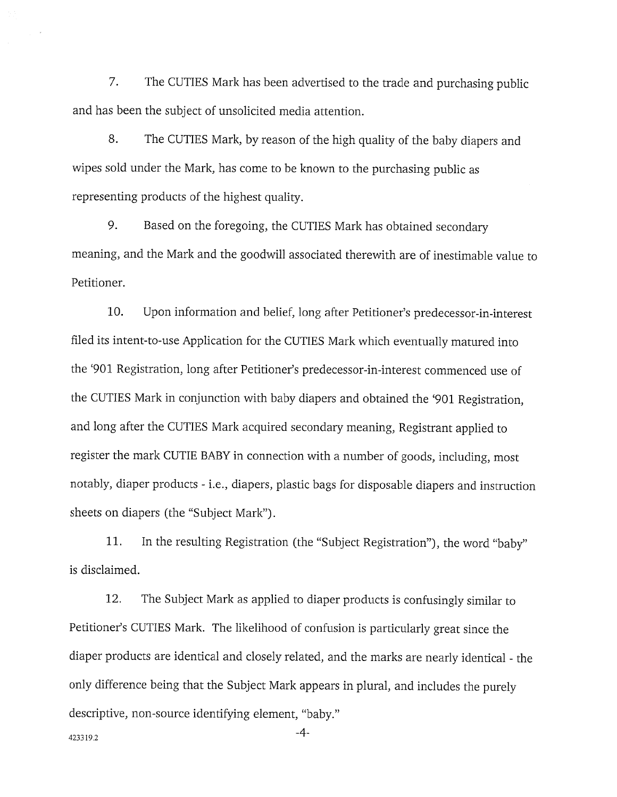7. The CUTIES Mark has been advertised to the trade and purchasing public and has been the subject of unsolicited media attention.

8. The CUTIES Mark, by reason of the high quality of the baby diapers and wipes sold under the Mark, has come to be known to the purchasing public as representing products of the highest quality.

9. Based on the foregoing, the CUTIES Mark has obtained secondary meaning, and the Mark and the goodwill associated therewith are of inestimable value to Petitioner.

10. Upon information and belief, long after Petitioner's predecessor-in-interest filed its intent-to-use Application for the CUTIES Mark which eventually matured into the '901 Registration, long after Petitioner's predecessor-in-interest commenced use of the CUTIES Mark in conjunction with baby diapers and obtained the '901 Registration, and long after the CUTIES Mark acquired secondary meaning, Registrant applied to register the mark CUTIE BABY in connection with a number of goods, including, most notably, diaper products - i.e., diapers, plastic bags for disposable diapers and instruction sheets on diapers (the "Subject Mark").

11. In the resulting Registration (the "Subject Registration"), the word "baby" is disclaimed.

12. The Subject Mark as applied to diaper products is confusingly similar to Petitioner's CUTIES Mark. The likelihood of confusion is particularly great since the diaper products are identical and closely related, and the marks are nearly identical - the only difference being that the Subject Mark appears in plural, and includes the purely descriptive, non-source identifying element, "baby."

423319.2

 $-4-$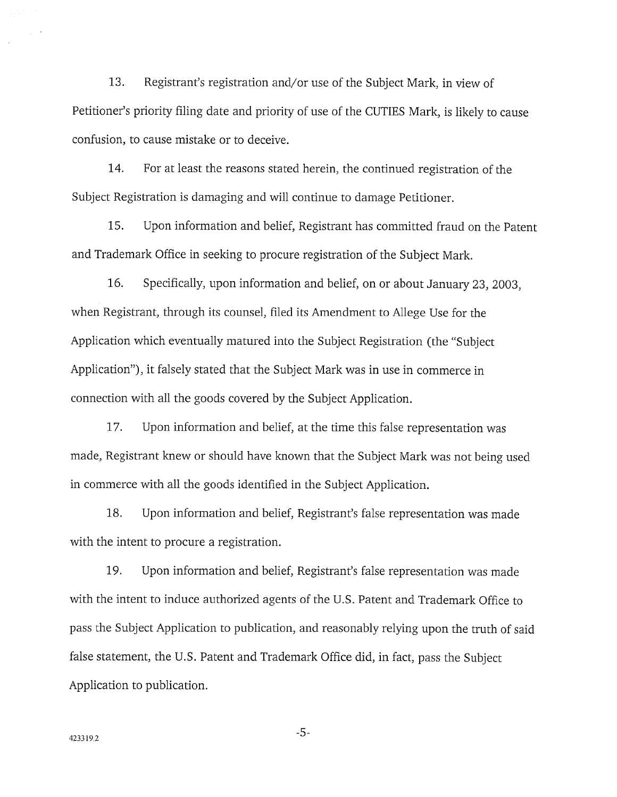13. Registrant's registration and/or use of the Subject Mark, in view of Petitioner's priority filing date and priority of use of the CUTIES Mark, is likely to cause confusion, to cause mistake or to deceive.

14. For at least the reasons stated herein, the continued registration of the Subject Registration is damaging and will continue to damage Petitioner.

15. Upon information and belief, Registrant has committed fraud on the Patent and Trademark Office in seeking to procure registration of the Subject Mark.

16. Specifically, upon information and belief, on or about January 23, 2003, when Registrant, through its counsel, filed its Amendment to Allege Use for the Application which eventually matured into the Subject Registration (the "Subject" Application"), it falsely stated that the Subject Mark was in use in commerce in connection with all the goods covered by the Subject Application.

17. Upon information and belief, at the time this false representation was made, Registrant knew or should have known that the Subject Mark was not being used in commerce with all the goods identified in the Subject Application.

18. Upon information and belief, Registrant's false representation was made with the intent to procure a registration.

19. Upon information and belief, Registrant's false representation was made with the intent to induce authorized agents of the U.S. Patent and Trademark Office to pass the Subject Application to publication, and reasonably relying upon the truth of said false statement, the U.S. Patent and Trademark Office did, in fact, pass the Subject Application to publication.

 $-5-$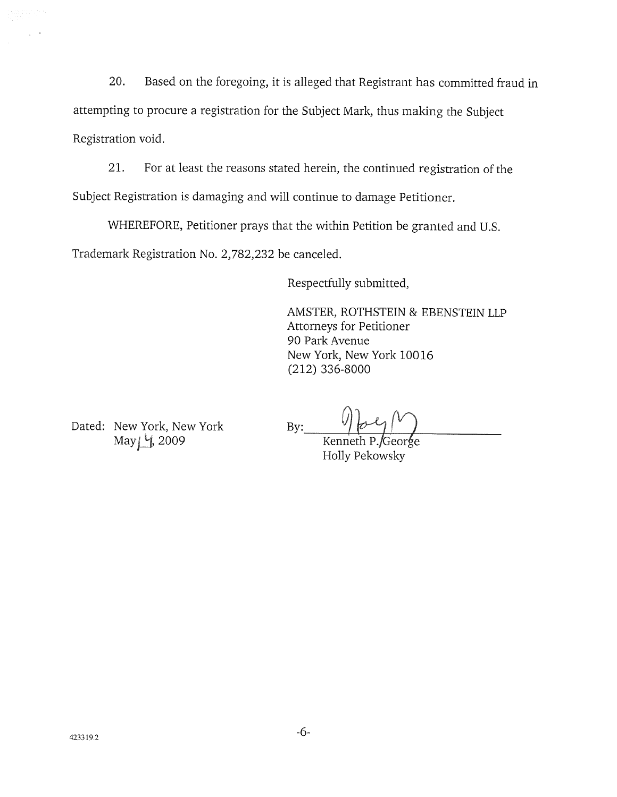Based on the foregoing, it is alleged that Registrant has committed fraud in 20. attempting to procure a registration for the Subject Mark, thus making the Subject Registration void.

21. For at least the reasons stated herein, the continued registration of the Subject Registration is damaging and will continue to damage Petitioner.

WHEREFORE, Petitioner prays that the within Petition be granted and U.S. Trademark Registration No. 2,782,232 be canceled.

Respectfully submitted,

AMSTER, ROTHSTEIN & EBENSTEIN LLP Attorneys for Petitioner 90 Park Avenue New York, New York 10016  $(212)$  336-8000

Dated: New York, New York May 1, 2009

 $By:$ 

Kenneth P./George Holly Pekowsky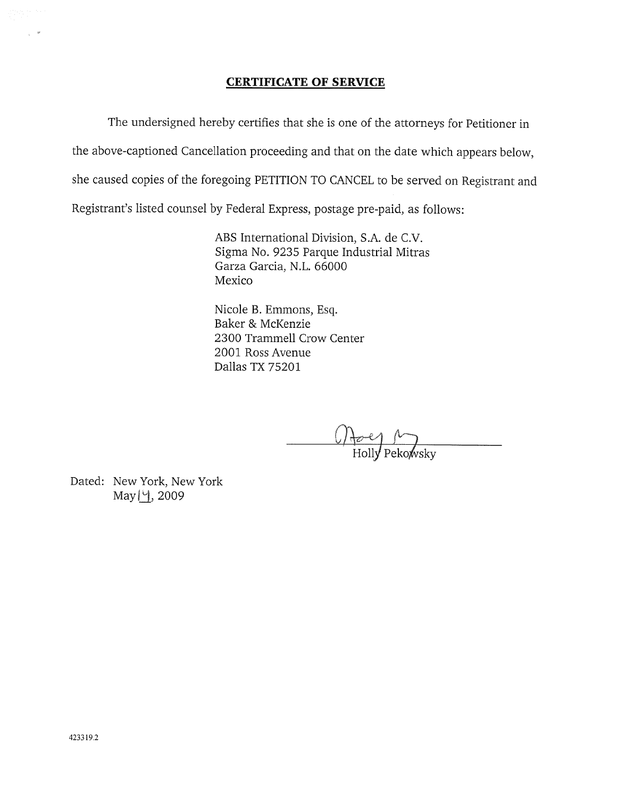## **CERTIFICATE OF SERVICE**

The undersigned hereby certifies that she is one of the attorneys for Petitioner in the above-captioned Cancellation proceeding and that on the date which appears below, she caused copies of the foregoing PETITION TO CANCEL to be served on Registrant and Registrant's listed counsel by Federal Express, postage pre-paid, as follows:

> ABS International Division, S.A. de C.V. Sigma No. 9235 Parque Industrial Mitras Garza Garcia, N.L. 66000 Mexico

Nicole B. Emmons, Esq. Baker & McKenzie 2300 Trammell Crow Center 2001 Ross Avenue Dallas TX 75201

 $\frac{(\bigwedge_{\mathcal{D}} e)}{\text{Holly Pekowsky}}$ 

Dated: New York, New York May | Y, 2009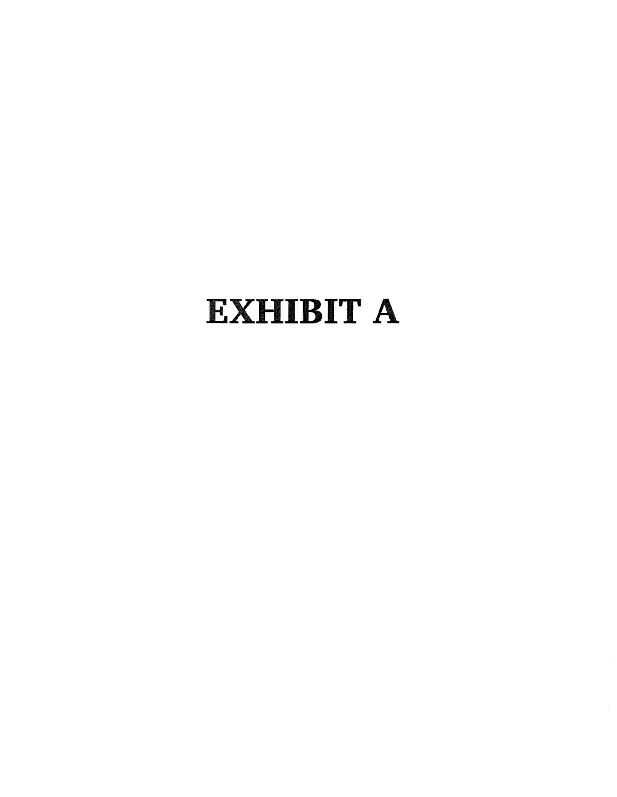# **EXHIBIT A**